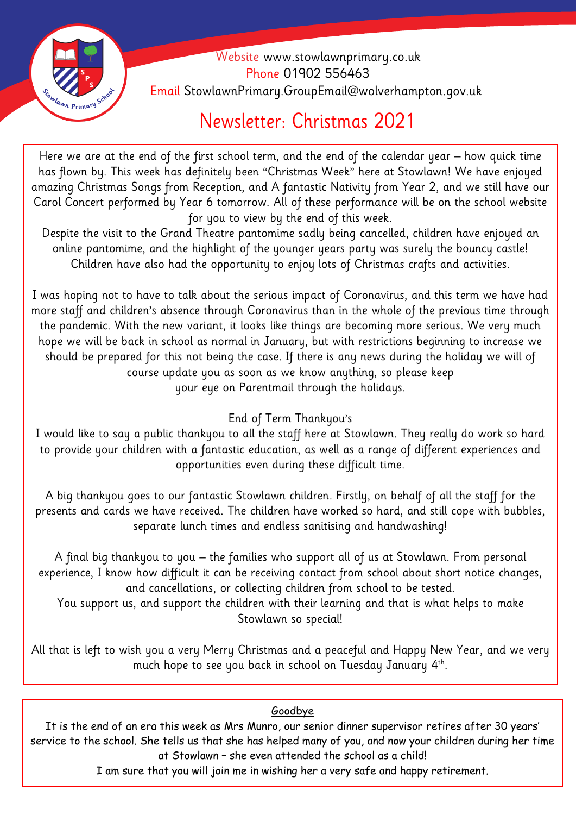

 Website [www.stowlawnprimary.co.uk](http://www.stowlawnprimary.co.uk/)  Phone 01902 556463 Email StowlawnPrimary.GroupEmail@wolverhampton.gov.uk

## Newsletter: Christmas 2021

**Welecome**  has flown by. This week has definitely been "Christmas Week" here at Stowlawn! We have enjoyed Here we are at the end of the first school term, and the end of the calendar year – how quick time amazing Christmas Songs from Reception, and A fantastic Nativity from Year 2, and we still have our Carol Concert performed by Year 6 tomorrow. All of these performance will be on the school website for you to view by the end of this week.

Despite the visit to the Grand Theatre pantomime sadly being cancelled, children have enjoyed an online pantomime, and the highlight of the younger years party was surely the bouncy castle! Children have also had the opportunity to enjoy lots of Christmas crafts and activities.

I was hoping not to have to talk about the serious impact of Coronavirus, and this term we have had more staff and children's absence through Coronavirus than in the whole of the previous time through the pandemic. With the new variant, it looks like things are becoming more serious. We very much hope we will be back in school as normal in January, but with restrictions beginning to increase we should be prepared for this not being the case. If there is any news during the holiday we will of course update you as soon as we know anything, so please keep your eye on Parentmail through the holidays.

## End of Term Thankyou's

I would like to say a public thankyou to all the staff here at Stowlawn. They really do work so hard to provide your children with a fantastic education, as well as a range of different experiences and opportunities even during these difficult time.

A big thankyou goes to our fantastic Stowlawn children. Firstly, on behalf of all the staff for the presents and cards we have received. The children have worked so hard, and still cope with bubbles, separate lunch times and endless sanitising and handwashing!

A final big thankyou to you – the families who support all of us at Stowlawn. From personal experience, I know how difficult it can be receiving contact from school about short notice changes, and cancellations, or collecting children from school to be tested.

You support us, and support the children with their learning and that is what helps to make Stowlawn so special!

All that is left to wish you a very Merry Christmas and a peaceful and Happy New Year, and we very much hope to see you back in school on Tuesday January 4th.

## Goodbye

It is the end of an era this week as Mrs Munro, our senior dinner supervisor retires after 30 years' service to the school. She tells us that she has helped many of you, and now your children during her time at Stowlawn – she even attended the school as a child!

I am sure that you will join me in wishing her a very safe and happy retirement.